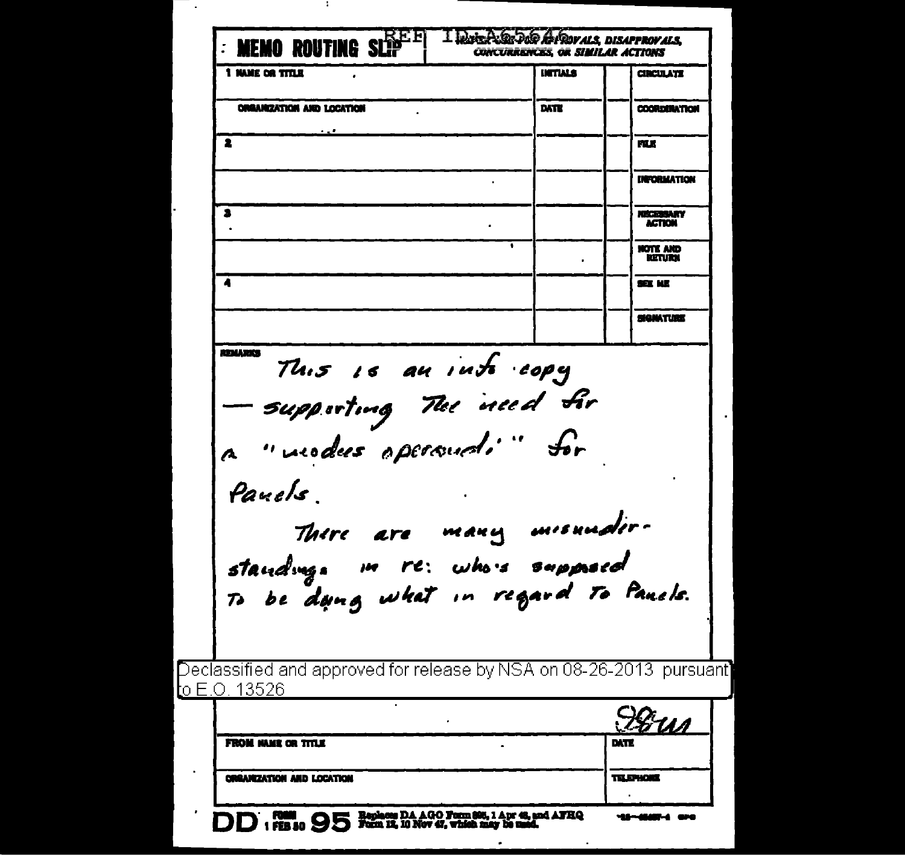| <b>FROM NAME OR TITLE</b>                                               |      | EXTE                      |
|-------------------------------------------------------------------------|------|---------------------------|
|                                                                         |      |                           |
|                                                                         |      | 78 <u>ил</u>              |
| <u>l</u> o E.O. 13526                                                   |      |                           |
| Declassified and approved for release by NSA on 08-26-2013  pursuant]   |      |                           |
|                                                                         |      |                           |
| standing. In re: whois supposed<br>To be dang what in regard To Panels. |      |                           |
| There are many misundir-                                                |      |                           |
|                                                                         |      |                           |
| Pauels                                                                  |      |                           |
| a "vuodes opersuali" for                                                |      |                           |
| — supporting The need fir                                               |      |                           |
| This is an into copy                                                    |      |                           |
| <b>REMARKS</b>                                                          |      |                           |
|                                                                         |      | SE ME<br><b>SIGNATION</b> |
| Ă                                                                       |      | NOTE AND<br>RETURN        |
|                                                                         |      | <b>ACTION</b>             |
| 3                                                                       |      | <b>NECESSARY</b>          |
|                                                                         |      | <b>INFORMATION</b>        |
| 2                                                                       |      | mx                        |
| <b>ORGANIZATION AND LOCATION</b>                                        | DATE | <b>COORDONATION</b>       |
|                                                                         |      |                           |

÷